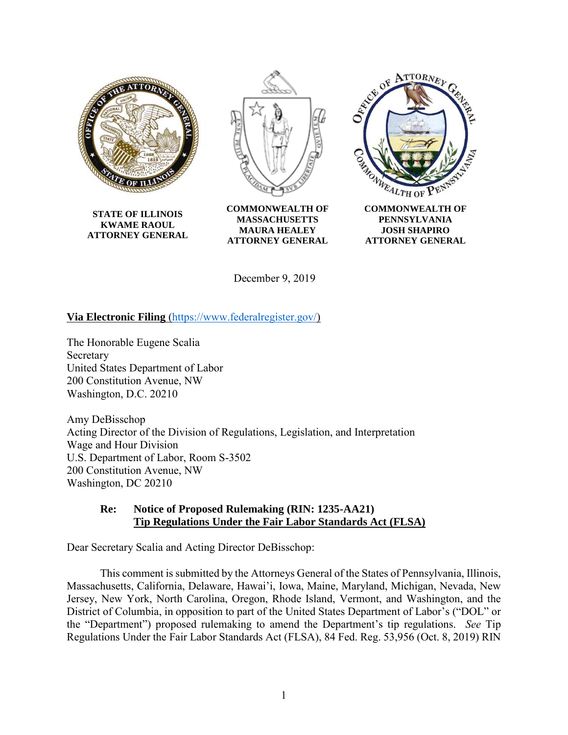

**STATE OF ILLINOIS KWAME RAOUL ATTORNEY GENERAL**



**COMMONWEALTH OF MASSACHUSETTS MAURA HEALEY ATTORNEY GENERAL**



**PENNSYLVANIA JOSH SHAPIRO ATTORNEY GENERAL**

December 9, 2019

## **Via Electronic Filing** [\(https://www.federalregister.gov/\)](https://www.federalregister.gov/)

The Honorable Eugene Scalia Secretary United States Department of Labor 200 Constitution Avenue, NW Washington, D.C. 20210

Amy DeBisschop Acting Director of the Division of Regulations, Legislation, and Interpretation Wage and Hour Division U.S. Department of Labor, Room S-3502 200 Constitution Avenue, NW Washington, DC 20210

#### **Re: Notice of Proposed Rulemaking (RIN: 1235-AA21) Tip Regulations Under the Fair Labor Standards Act (FLSA)**

Dear Secretary Scalia and Acting Director DeBisschop:

This comment is submitted by the Attorneys General of the States of Pennsylvania, Illinois, Massachusetts, California, Delaware, Hawai'i, Iowa, Maine, Maryland, Michigan, Nevada, New Jersey, New York, North Carolina, Oregon, Rhode Island, Vermont, and Washington, and the District of Columbia, in opposition to part of the United States Department of Labor's ("DOL" or the "Department") proposed rulemaking to amend the Department's tip regulations. *See* Tip Regulations Under the Fair Labor Standards Act (FLSA), 84 Fed. Reg. 53,956 (Oct. 8, 2019) RIN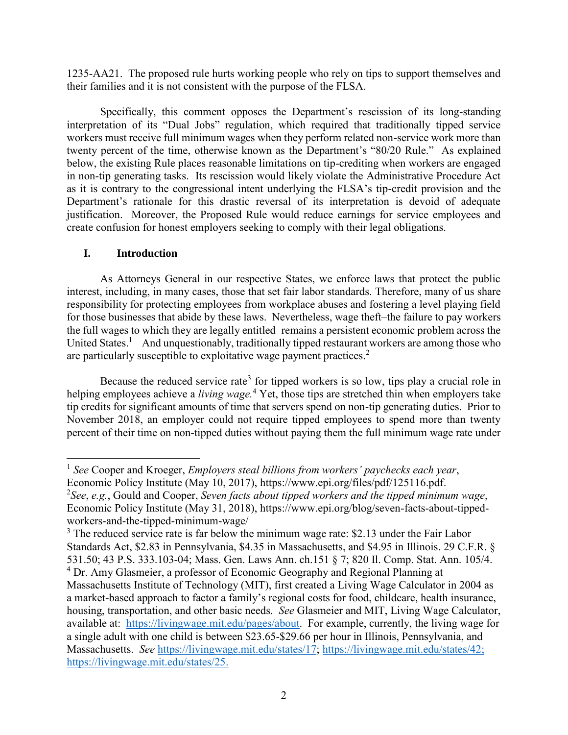1235-AA21. The proposed rule hurts working people who rely on tips to support themselves and their families and it is not consistent with the purpose of the FLSA.

Specifically, this comment opposes the Department's rescission of its long-standing interpretation of its "Dual Jobs" regulation, which required that traditionally tipped service workers must receive full minimum wages when they perform related non-service work more than twenty percent of the time, otherwise known as the Department's "80/20 Rule." As explained below, the existing Rule places reasonable limitations on tip-crediting when workers are engaged in non-tip generating tasks. Its rescission would likely violate the Administrative Procedure Act as it is contrary to the congressional intent underlying the FLSA's tip-credit provision and the Department's rationale for this drastic reversal of its interpretation is devoid of adequate justification. Moreover, the Proposed Rule would reduce earnings for service employees and create confusion for honest employers seeking to comply with their legal obligations.

## **I. Introduction**

As Attorneys General in our respective States, we enforce laws that protect the public interest, including, in many cases, those that set fair labor standards. Therefore, many of us share responsibility for protecting employees from workplace abuses and fostering a level playing field for those businesses that abide by these laws. Nevertheless, wage theft–the failure to pay workers the full wages to which they are legally entitled–remains a persistent economic problem across the United States.<sup>1</sup> And unquestionably, traditionally tipped restaurant workers are among those who are particularly susceptible to exploitative wage payment practices. $2$ 

Because the reduced service rate<sup>3</sup> for tipped workers is so low, tips play a crucial role in helping employees achieve a *living wage.* <sup>4</sup> Yet, those tips are stretched thin when employers take tip credits for significant amounts of time that servers spend on non-tip generating duties. Prior to November 2018, an employer could not require tipped employees to spend more than twenty percent of their time on non-tipped duties without paying them the full minimum wage rate under

 $\overline{\phantom{a}}$ 1 *See* Cooper and Kroeger, *Employers steal billions from workers' paychecks each year*, Economic Policy Institute (May 10, 2017), [https://www.epi.org/files/pdf/125116.pdf.](https://www.epi.org/files/pdf/125116.pdf)

<sup>2</sup> *See*, *e.g.*, Gould and Cooper, *Seven facts about tipped workers and the tipped minimum wage*, Economic Policy Institute (May 31, 2018), [https://www.epi.org/blog/seven-facts-about-tipped](https://www.epi.org/blog/seven-facts-about-tipped-workers-and-the-tipped-minimum-wage/)[workers-and-the-tipped-minimum-wage/](https://www.epi.org/blog/seven-facts-about-tipped-workers-and-the-tipped-minimum-wage/)

<sup>&</sup>lt;sup>3</sup> The reduced service rate is far below the minimum wage rate: \$2.13 under the Fair Labor Standards Act, \$2.83 in Pennsylvania, \$4.35 in Massachusetts, and \$4.95 in Illinois. 29 C.F.R. § 531.50; 43 P.S. 333.103-04; Mass. Gen. Laws Ann. ch.151 § 7; 820 Il. Comp. Stat. Ann. 105/4. <sup>4</sup> Dr. Amy Glasmeier, a professor of Economic Geography and Regional Planning at Massachusetts Institute of Technology (MIT), first created a Living Wage Calculator in 2004 as a market-based approach to factor a family's regional costs for food, childcare, health insurance, housing, transportation, and other basic needs. *See* Glasmeier and MIT, Living Wage Calculator, available at: [https://livingwage.mit.edu/p](https://livingwage.mit.edu/)ages/about. For example, currently, the living wage for a single adult with one child is between \$23.65-\$29.66 per hour in Illinois, Pennsylvania, and Massachusetts. *See* [https://livingwage.mit.edu/states/17;](https://livingwage.mit.edu/states/17) [https://livingwage.mit.edu/states/42;](https://livingwage.mit.edu/states/42) [https://livingwage.mit.edu/states/25.](https://livingwage.mit.edu/states/25)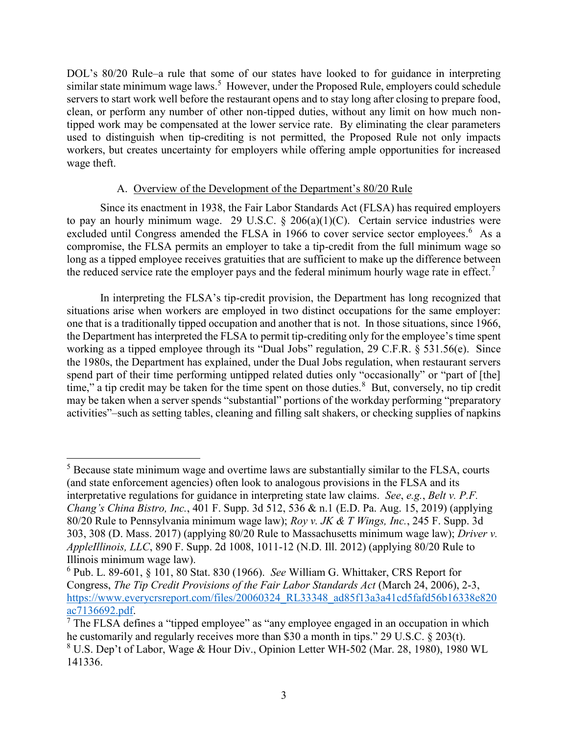DOL's 80/20 Rule–a rule that some of our states have looked to for guidance in interpreting similar state minimum wage laws.<sup>5</sup> However, under the Proposed Rule, employers could schedule servers to start work well before the restaurant opens and to stay long after closing to prepare food, clean, or perform any number of other non-tipped duties, without any limit on how much nontipped work may be compensated at the lower service rate. By eliminating the clear parameters used to distinguish when tip-crediting is not permitted, the Proposed Rule not only impacts workers, but creates uncertainty for employers while offering ample opportunities for increased wage theft.

## A. Overview of the Development of the Department's 80/20 Rule

Since its enactment in 1938, the Fair Labor Standards Act (FLSA) has required employers to pay an hourly minimum wage. 29 U.S.C.  $\S$  206(a)(1)(C). Certain service industries were excluded until Congress amended the FLSA in 1966 to cover service sector employees.<sup>6</sup> As a compromise, the FLSA permits an employer to take a tip-credit from the full minimum wage so long as a tipped employee receives gratuities that are sufficient to make up the difference between the reduced service rate the employer pays and the federal minimum hourly wage rate in effect.<sup>7</sup>

In interpreting the FLSA's tip-credit provision, the Department has long recognized that situations arise when workers are employed in two distinct occupations for the same employer: one that is a traditionally tipped occupation and another that is not. In those situations, since 1966, the Department has interpreted the FLSA to permit tip-crediting only for the employee's time spent working as a tipped employee through its "Dual Jobs" regulation, [29 C.F.R. § 531.56\(e\).](http://www.westlaw.com/Link/Document/FullText?findType=L&pubNum=1000547&cite=29CFRS531.56&originatingDoc=Ib1598100bff011e991c3ae990eb01410&refType=RB&originationContext=document&vr=3.0&rs=cblt1.0&transitionType=DocumentItem&contextData=(sc.Search)#co_pp_7fdd00001ca15) Since the 1980s, the Department has explained, under the Dual Jobs regulation, when restaurant servers spend part of their time performing untipped related duties only "occasionally" or "part of [the] time," a tip credit may be taken for the time spent on those duties.<sup>8</sup> But, conversely, no tip credit may be taken when a server spends "substantial" portions of the workday performing "preparatory activities"–such as setting tables, cleaning and filling salt shakers, or checking supplies of napkins

 $\overline{\phantom{a}}$ 

 $<sup>5</sup>$  Because state minimum wage and overtime laws are substantially similar to the FLSA, courts</sup> (and state enforcement agencies) often look to analogous provisions in the FLSA and its interpretative regulations for guidance in interpreting state law claims. *See*, *e.g.*, *Belt v. P.F. Chang's China Bistro, Inc.*, 401 F. Supp. 3d 512, 536 & n.1 (E.D. Pa. Aug. 15, 2019) (applying 80/20 Rule to Pennsylvania minimum wage law); *Roy v. JK & T Wings, Inc.*, 245 F. Supp. 3d 303, 308 (D. Mass. 2017) (applying 80/20 Rule to Massachusetts minimum wage law); *Driver v. AppleIllinois, LLC*, 890 F. Supp. 2d 1008, 1011-12 (N.D. Ill. 2012) (applying 80/20 Rule to Illinois minimum wage law).

<sup>6</sup> Pub. L. 89-601, § 101, 80 Stat. 830 (1966). *See* William G. Whittaker, CRS Report for Congress, *The Tip Credit Provisions of the Fair Labor Standards Act* (March 24, 2006), 2-3, [https://www.everycrsreport.com/files/20060324\\_RL33348\\_ad85f13a3a41cd5fafd56b16338e820](https://www.everycrsreport.com/files/20060324_RL33348_ad85f13a3a41cd5fafd56b16338e820ac7136692.pdf) [ac7136692.pdf.](https://www.everycrsreport.com/files/20060324_RL33348_ad85f13a3a41cd5fafd56b16338e820ac7136692.pdf)

 $<sup>7</sup>$  The FLSA defines a "tipped employee" as "any employee engaged in an occupation in which</sup> he customarily and regularly receives more than \$30 a month in tips." 29 U.S.C. § 203(t). <sup>8</sup> U.S. Dep't of Labor, Wage & Hour Div., Opinion Letter WH-502 [\(Mar. 28, 1980\), 1980 WL](http://www.westlaw.com/Link/Document/FullText?findType=Y&serNum=0109276453&pubNum=0000999&originatingDoc=Ib1598100bff011e991c3ae990eb01410&refType=DE&originationContext=document&vr=3.0&rs=cblt1.0&transitionType=DocumentItem&contextData=(sc.Search))  [141336.](http://www.westlaw.com/Link/Document/FullText?findType=Y&serNum=0109276453&pubNum=0000999&originatingDoc=Ib1598100bff011e991c3ae990eb01410&refType=DE&originationContext=document&vr=3.0&rs=cblt1.0&transitionType=DocumentItem&contextData=(sc.Search))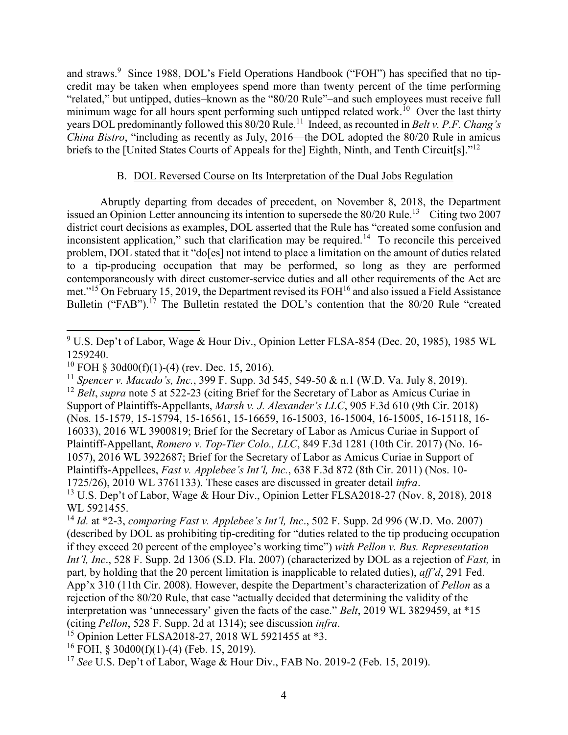and straws.<sup>9</sup> Since 1988, DOL's Field Operations Handbook ("FOH") has specified that no tipcredit may be taken when employees spend more than twenty percent of the time performing "related," but untipped, duties–known as the "80/20 Rule"–and such employees must receive full minimum wage for all hours spent performing such untipped related work.<sup>10</sup> Over the last thirty years DOL predominantly followed this 80/20 Rule.<sup>11</sup> Indeed, as recounted in *Belt v. P.F. Chang's China Bistro*, "including as recently as July, 2016—the DOL adopted the 80/20 Rule in amicus briefs to the [United States Courts of Appeals for the] Eighth, Ninth, and Tenth Circuit[s]."<sup>12</sup>

#### B. DOL Reversed Course on Its Interpretation of the Dual Jobs Regulation

Abruptly departing from decades of precedent, on November 8, 2018, the Department issued an Opinion Letter announcing its intention to supersede the  $80/20$  Rule.<sup>13</sup> Citing two 2007 district court decisions as examples, DOL asserted that the Rule has "created some confusion and inconsistent application," such that clarification may be required.<sup>14</sup> To reconcile this perceived problem, DOL stated that it "do[es] not intend to place a limitation on the amount of duties related to a tip-producing occupation that may be performed, so long as they are performed contemporaneously with direct customer-service duties and all other requirements of the Act are met."<sup>15</sup> On February 15, 2019, the Department revised its FOH<sup>16</sup> and also issued a Field Assistance Bulletin ("FAB").<sup>17</sup> The Bulletin restated the DOL's contention that the 80/20 Rule "created

 $\overline{\phantom{a}}$ 

<sup>11</sup> *Spencer v. Macado's, Inc.*, 399 F. Supp. 3d 545, 549-50 & n.1 (W.D. Va. July 8, 2019).

<sup>&</sup>lt;sup>9</sup> U.S. Dep't of Labor, Wage & Hour Div., Opinion Letter FLSA-854 (Dec. 20, 1985), 1985 WL [1259240.](http://www.westlaw.com/Link/Document/FullText?findType=Y&serNum=0439957940&pubNum=0000999&originatingDoc=Ib1598100bff011e991c3ae990eb01410&refType=DE&originationContext=document&vr=3.0&rs=cblt1.0&transitionType=DocumentItem&contextData=(sc.Search))

<sup>&</sup>lt;sup>10</sup> FOH § 30d00(f)(1)-(4) (rev. Dec. 15, 2016).

<sup>&</sup>lt;sup>12</sup> *Belt*, *supra* note 5 at 522-23 (citing Brief for the Secretary of Labor as Amicus Curiae in Support of Plaintiffs-Appellants, *Marsh v. J. Alexander's LLC*, 905 F.3d 610 (9th Cir. 2018) (Nos. 15-1579, 15-15794, 15-16561, 15-16659, 16-15003, 16-15004, 16-15005, 16-15118, 16- 16033), 2016 WL 3900819; Brief for the Secretary of Labor as Amicus Curiae in Support of Plaintiff-Appellant, *Romero v. Top-Tier Colo., LLC*, 849 F.3d 1281 (10th Cir. 2017) (No. 16- 1057), 2016 WL 3922687; Brief for the Secretary of Labor as Amicus Curiae in Support of Plaintiffs-Appellees, *Fast v. Applebee's Int'l, Inc.*, 638 F.3d 872 (8th Cir. 2011) (Nos. 10- 1725/26), 2010 WL 3761133). These cases are discussed in greater detail *infra*. <sup>13</sup> U.S. Dep't of Labor, Wage & Hour Div., Opinion Letter FLSA2018-27 (Nov. 8, 2018), 2018 [WL 5921455.](http://www.westlaw.com/Link/Document/FullText?findType=Y&serNum=0475262602&pubNum=0000999&originatingDoc=Ib1598100bff011e991c3ae990eb01410&refType=DE&originationContext=document&vr=3.0&rs=cblt1.0&transitionType=DocumentItem&contextData=(sc.Search))

<sup>14</sup> *Id.* [at \\*2-](http://www.westlaw.com/Link/Document/FullText?findType=Y&serNum=0475262602&pubNum=0000999&originatingDoc=Ib1598100bff011e991c3ae990eb01410&refType=DE&originationContext=document&vr=3.0&rs=cblt1.0&transitionType=DocumentItem&contextData=(sc.Search))3, *comparing [Fast v. Applebee's Int'l, Inc](https://1.next.westlaw.com/Link/Document/FullText?findType=Y&serNum=2012177004&pubNum=0004637&originatingDoc=I746ab4c3e7e411e8a5b3e3d9e23d7429&refType=RP&originationContext=document&transitionType=DocumentItem&contextData=(sc.DocLink))*., 502 F. Supp. 2d 996 (W.D. Mo. 2007) (described by DOL as prohibiting tip-crediting for "duties related to the tip producing occupation if they exceed 20 percent of the employee's working time") *with [Pellon v. Bus. Representation](https://1.next.westlaw.com/Link/Document/FullText?findType=Y&serNum=2014440929&pubNum=0004637&originatingDoc=I746ab4c3e7e411e8a5b3e3d9e23d7429&refType=RP&originationContext=document&transitionType=DocumentItem&contextData=(sc.DocLink))  Int'l, Inc*., 528 F. Supp. [2d 1306 \(S.D. Fla. 2007\)](https://1.next.westlaw.com/Link/Document/FullText?findType=Y&serNum=2014440929&pubNum=0004637&originatingDoc=I746ab4c3e7e411e8a5b3e3d9e23d7429&refType=RP&originationContext=document&transitionType=DocumentItem&contextData=(sc.DocLink)) (characterized by DOL as a rejection of *Fast,* in part, by holding that the 20 percent limitation is inapplicable to related duties), *aff'd*, [291 Fed.](https://1.next.westlaw.com/Link/Document/FullText?findType=Y&serNum=2016894872&pubNum=0006538&originatingDoc=I746ab4c3e7e411e8a5b3e3d9e23d7429&refType=RP&originationContext=document&transitionType=DocumentItem&contextData=(sc.DocLink))  [App'x 310 \(11th Cir. 2008\).](https://1.next.westlaw.com/Link/Document/FullText?findType=Y&serNum=2016894872&pubNum=0006538&originatingDoc=I746ab4c3e7e411e8a5b3e3d9e23d7429&refType=RP&originationContext=document&transitionType=DocumentItem&contextData=(sc.DocLink)) However, despite the Department's characterization of *Pellon* as a rejection of the 80/20 Rule, that case "actually decided that determining the validity of the interpretation was 'unnecessary' given the facts of the case." *Belt*, 2019 WL 3829459, at \*15 (citing *Pellon*, 528 F. Supp. [2d at 1314\);](http://www.westlaw.com/Link/Document/FullText?findType=Y&serNum=2014440929&pubNum=0004637&originatingDoc=Ib1598100bff011e991c3ae990eb01410&refType=RP&fi=co_pp_sp_4637_1314&originationContext=document&vr=3.0&rs=cblt1.0&transitionType=DocumentItem&contextData=(sc.Search)#co_pp_sp_4637_1314) see discussion *infra*.

<sup>&</sup>lt;sup>15</sup> Opinion Letter FLSA2018-27, [2018 WL 5921455](http://www.westlaw.com/Link/Document/FullText?findType=Y&serNum=0475262602&pubNum=0000999&originatingDoc=Ib1598100bff011e991c3ae990eb01410&refType=DE&originationContext=document&vr=3.0&rs=cblt1.0&transitionType=DocumentItem&contextData=(sc.Search)) at \*3.

 $16$  FOH,  $\delta$  30d00(f)(1)-(4) (Feb. 15, 2019).

<sup>17</sup> *See* U.S. Dep't of Labor, Wage & Hour Div., FAB No. 2019-2 (Feb. 15, 2019).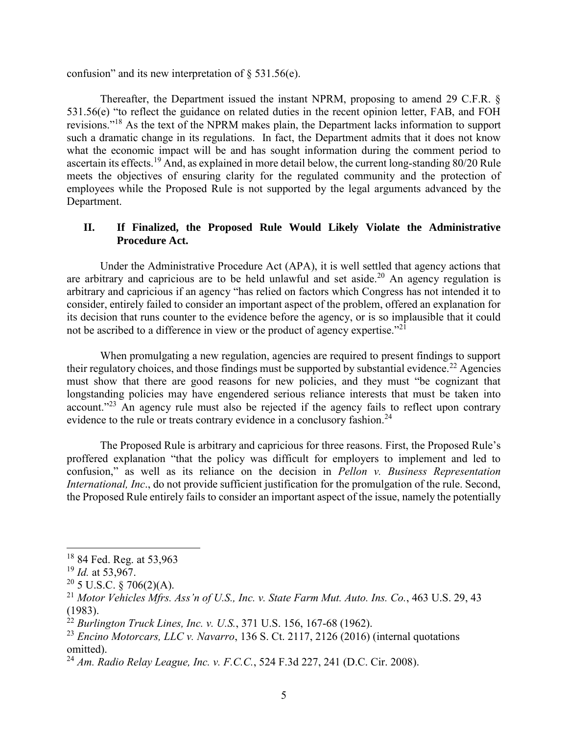confusion" and its new interpretation of  $\S$  531.56(e).

Thereafter, the Department issued the instant NPRM, proposing to amend [29 C.F.R. §](http://www.westlaw.com/Link/Document/FullText?findType=L&pubNum=1000547&cite=29CFRS531.56&originatingDoc=Ib1598100bff011e991c3ae990eb01410&refType=RB&originationContext=document&vr=3.0&rs=cblt1.0&transitionType=DocumentItem&contextData=(sc.Search)#co_pp_7fdd00001ca15)  [531.56\(e\)](http://www.westlaw.com/Link/Document/FullText?findType=L&pubNum=1000547&cite=29CFRS531.56&originatingDoc=Ib1598100bff011e991c3ae990eb01410&refType=RB&originationContext=document&vr=3.0&rs=cblt1.0&transitionType=DocumentItem&contextData=(sc.Search)#co_pp_7fdd00001ca15) "to reflect the guidance on related duties in the recent opinion letter, FAB, and FOH revisions."<sup>18</sup> As the text of the NPRM makes plain, the Department lacks information to support such a dramatic change in its regulations. In fact, the Department admits that it does not know what the economic impact will be and has sought information during the comment period to ascertain its effects.<sup>19</sup> And, as explained in more detail below, the current long-standing 80/20 Rule meets the objectives of ensuring clarity for the regulated community and the protection of employees while the Proposed Rule is not supported by the legal arguments advanced by the Department.

#### **II. If Finalized, the Proposed Rule Would Likely Violate the Administrative Procedure Act.**

Under the Administrative Procedure Act (APA), it is well settled that agency actions that are arbitrary and capricious are to be held unlawful and set aside.<sup>20</sup> An agency regulation is arbitrary and capricious if an agency "has relied on factors which Congress has not intended it to consider, entirely failed to consider an important aspect of the problem, offered an explanation for its decision that runs counter to the evidence before the agency, or is so implausible that it could not be ascribed to a difference in view or the product of agency expertise."<sup>21</sup>

When promulgating a new regulation, agencies are required to present findings to support their regulatory choices, and those findings must be supported by substantial evidence.<sup>22</sup> Agencies must show that there are good reasons for new policies, and they must "be cognizant that longstanding policies may have engendered serious reliance interests that must be taken into account."<sup>23</sup> An agency rule must also be rejected if the agency fails to reflect upon contrary evidence to the rule or treats contrary evidence in a conclusory fashion.<sup>24</sup>

The Proposed Rule is arbitrary and capricious for three reasons. First, the Proposed Rule's proffered explanation "that the policy was difficult for employers to implement and led to confusion," as well as its reliance on the decision in *Pellon v. Business Representation International, Inc*., do not provide sufficient justification for the promulgation of the rule. Second, the Proposed Rule entirely fails to consider an important aspect of the issue, namely the potentially

l

<sup>&</sup>lt;sup>18</sup> 84 Fed. Reg. at 53,963

<sup>19</sup> *Id.* at 53,967.

 $20\,$  5 U.S.C. § 706(2)(A).

<sup>21</sup> *Motor Vehicles Mfrs. Ass'n of U.S., Inc. v. State Farm Mut. Auto. Ins. Co.*, 463 U.S. 29, 43 (1983).

<sup>22</sup> *Burlington Truck Lines, Inc. v. U.S.*, 371 U.S. 156, 167-68 (1962).

<sup>23</sup> *Encino Motorcars, LLC v. Navarro*, 136 S. Ct. 2117, 2126 (2016) (internal quotations omitted).

<sup>24</sup> *Am. Radio Relay League, Inc. v. F.C.C.*, 524 F.3d 227, 241 (D.C. Cir. 2008).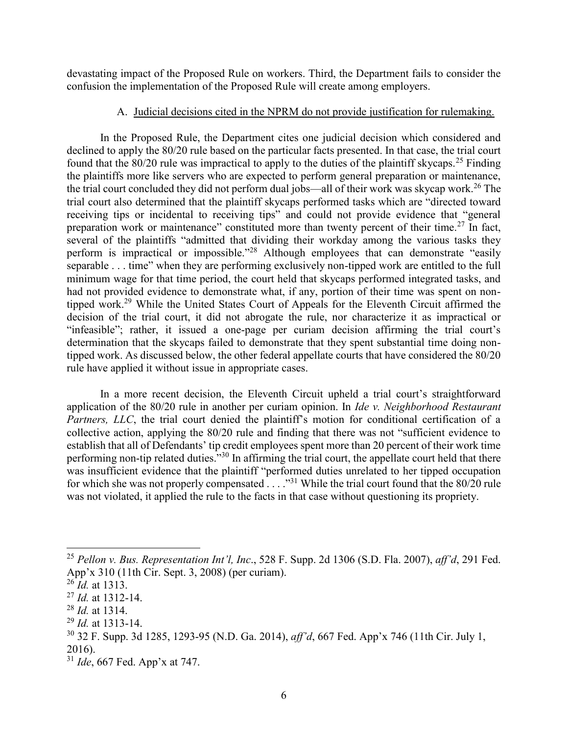devastating impact of the Proposed Rule on workers. Third, the Department fails to consider the confusion the implementation of the Proposed Rule will create among employers.

#### A. Judicial decisions cited in the NPRM do not provide justification for rulemaking.

In the Proposed Rule, the Department cites one judicial decision which considered and declined to apply the 80/20 rule based on the particular facts presented. In that case, the trial court found that the  $80/20$  rule was impractical to apply to the duties of the plaintiff skycaps.<sup>25</sup> Finding the plaintiffs more like servers who are expected to perform general preparation or maintenance, the trial court concluded they did not perform dual jobs—all of their work was skycap work.<sup>26</sup> The trial court also determined that the plaintiff skycaps performed tasks which are "directed toward receiving tips or incidental to receiving tips" and could not provide evidence that "general preparation work or maintenance" constituted more than twenty percent of their time.<sup>27</sup> In fact, several of the plaintiffs "admitted that dividing their workday among the various tasks they perform is impractical or impossible."<sup>28</sup> Although employees that can demonstrate "easily separable . . . time" when they are performing exclusively non-tipped work are entitled to the full minimum wage for that time period, the court held that skycaps performed integrated tasks, and had not provided evidence to demonstrate what, if any, portion of their time was spent on nontipped work.<sup>29</sup> While the United States Court of Appeals for the Eleventh Circuit affirmed the decision of the trial court, it did not abrogate the rule, nor characterize it as impractical or "infeasible"; rather, it issued a one-page per curiam decision affirming the trial court's determination that the skycaps failed to demonstrate that they spent substantial time doing nontipped work. As discussed below, the other federal appellate courts that have considered the 80/20 rule have applied it without issue in appropriate cases.

In a more recent decision, the Eleventh Circuit upheld a trial court's straightforward application of the 80/20 rule in another per curiam opinion. In *Ide v. Neighborhood Restaurant Partners, LLC*, the trial court denied the plaintiff's motion for conditional certification of a collective action, applying the 80/20 rule and finding that there was not "sufficient evidence to establish that all of Defendants' tip credit employees spent more than 20 percent of their work time performing non-tip related duties."<sup>30</sup> In affirming the trial court, the appellate court held that there was insufficient evidence that the plaintiff "performed duties unrelated to her tipped occupation for which she was not properly compensated  $\ldots$ ."<sup>31</sup> While the trial court found that the 80/20 rule was not violated, it applied the rule to the facts in that case without questioning its propriety.

l

<sup>25</sup> *Pellon v. Bus. Representation Int'l, Inc*., 528 F. Supp. 2d 1306 (S.D. Fla. 2007), *aff'd*, 291 Fed. App'x 310 (11th Cir. Sept. 3, 2008) (per curiam).

 $^{26}$ *Id.* at 1313.

<sup>27</sup> *Id.* at 1312-14.

<sup>28</sup> *Id.* at 1314.

<sup>29</sup> *Id.* at 1313-14.

<sup>30</sup> 32 F. Supp. 3d 1285, 1293-95 (N.D. Ga. 2014), *aff'd*, 667 Fed. App'x 746 (11th Cir. July 1, 2016).

<sup>31</sup> *Ide*, 667 Fed. App'x at 747.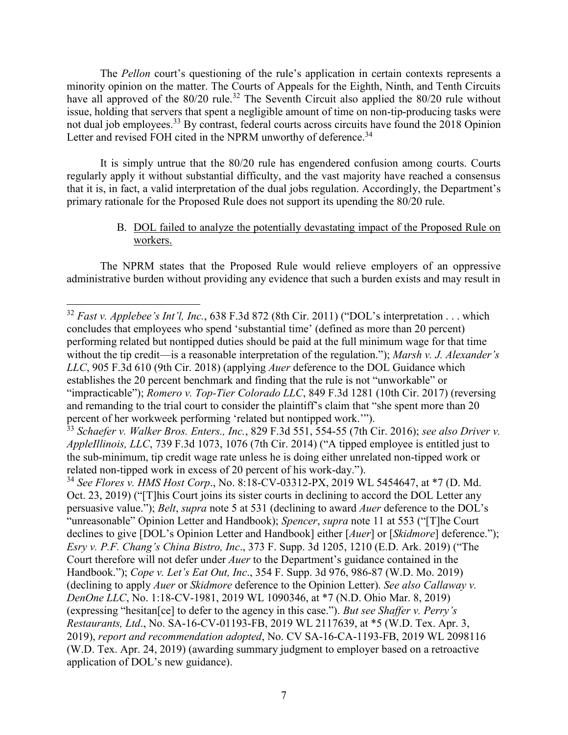The *Pellon* court's questioning of the rule's application in certain contexts represents a minority opinion on the matter. The Courts of Appeals for the Eighth, Ninth, and Tenth Circuits have all approved of the  $80/20$  rule.<sup>32</sup> The Seventh Circuit also applied the  $80/20$  rule without issue, holding that servers that spent a negligible amount of time on non-tip-producing tasks were not dual job employees.<sup>33</sup> By contrast, federal courts across circuits have found the 2018 Opinion Letter and revised FOH cited in the NPRM unworthy of deference.<sup>34</sup>

It is simply untrue that the 80/20 rule has engendered confusion among courts. Courts regularly apply it without substantial difficulty, and the vast majority have reached a consensus that it is, in fact, a valid interpretation of the dual jobs regulation. Accordingly, the Department's primary rationale for the Proposed Rule does not support its upending the 80/20 rule.

## B. DOL failed to analyze the potentially devastating impact of the Proposed Rule on workers.

The NPRM states that the Proposed Rule would relieve employers of an oppressive administrative burden without providing any evidence that such a burden exists and may result in

 $\overline{a}$ <sup>32</sup> *Fast v. Applebee's Int'l, Inc.*, 638 F.3d 872 (8th Cir. 2011) ("DOL's interpretation . . . which concludes that employees who spend 'substantial time' (defined as more than 20 percent) performing related but nontipped duties should be paid at the full minimum wage for that time without the tip credit—is a reasonable interpretation of the regulation."); *Marsh v. J. Alexander's LLC*, 905 F.3d 610 (9th Cir. 2018) (applying *Auer* deference to the DOL Guidance which establishes the 20 percent benchmark and finding that the rule is not "unworkable" or "impracticable"); *Romero v. Top-Tier Colorado LLC*, 849 F.3d 1281 (10th Cir. 2017) (reversing and remanding to the trial court to consider the plaintiff's claim that "she spent more than 20 percent of her workweek performing 'related but nontipped work.'").

<sup>33</sup> *Schaefer v. Walker Bros. Enters., Inc.*, 829 F.3d 551, 554-55 (7th Cir. 2016); *see also Driver v. AppleIllinois, LLC*, 739 F.3d 1073, 1076 (7th Cir. 2014) ("A tipped employee is entitled just to the sub-minimum, tip credit wage rate unless he is doing either unrelated non-tipped work or related non-tipped work in excess of 20 percent of his work-day.").

<sup>34</sup> *See Flores v. HMS Host Corp*., No. 8:18-CV-03312-PX, 2019 WL 5454647, at \*7 (D. Md. Oct. 23, 2019) ("[T]his Court joins its sister courts in declining to accord the DOL Letter any persuasive value."); *Belt*, *supra* note 5 at 531 (declining to award *Auer* deference to the DOL's "unreasonable" Opinion Letter and Handbook); *Spencer*, *supra* note 11 at 553 ("[T]he Court declines to give [DOL's Opinion Letter and Handbook] either [*Auer*] or [*Skidmore*] deference."); *Esry v. P.F. Chang's China Bistro, Inc*., 373 F. Supp. 3d 1205, 1210 (E.D. Ark. 2019) ("The Court therefore will not defer under *Auer* to the Department's guidance contained in the Handbook."); *Cope v. Let's Eat Out, Inc*., 354 F. Supp. 3d 976, 986-87 (W.D. Mo. 2019) (declining to apply *Auer* or *Skidmore* deference to the Opinion Letter). *See also Callaway v. DenOne LLC*, No. 1:18-CV-1981, 2019 WL 1090346, at \*7 (N.D. Ohio Mar. 8, 2019) (expressing "hesitan[ce] to defer to the agency in this case."). *But see Shaffer v. Perry's Restaurants, Ltd*., No. SA-16-CV-01193-FB, 2019 WL 2117639, at \*5 (W.D. Tex. Apr. 3, 2019), *report and recommendation adopted*, No. CV SA-16-CA-1193-FB, 2019 WL 2098116 (W.D. Tex. Apr. 24, 2019) (awarding summary judgment to employer based on a retroactive application of DOL's new guidance).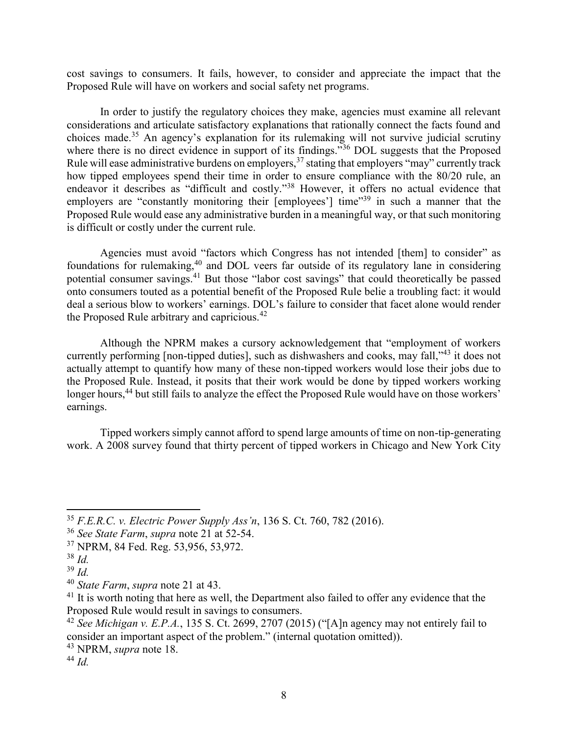cost savings to consumers. It fails, however, to consider and appreciate the impact that the Proposed Rule will have on workers and social safety net programs.

In order to justify the regulatory choices they make, agencies must examine all relevant considerations and articulate satisfactory explanations that rationally connect the facts found and choices made.<sup>35</sup> An agency's explanation for its rulemaking will not survive judicial scrutiny where there is no direct evidence in support of its findings."<sup>36</sup> DOL suggests that the Proposed Rule will ease administrative burdens on employers,<sup>37</sup> stating that employers "may" currently track how tipped employees spend their time in order to ensure compliance with the 80/20 rule, an endeavor it describes as "difficult and costly."<sup>38</sup> However, it offers no actual evidence that employers are "constantly monitoring their [employees'] time"<sup>39</sup> in such a manner that the Proposed Rule would ease any administrative burden in a meaningful way, or that such monitoring is difficult or costly under the current rule.

Agencies must avoid "factors which Congress has not intended [them] to consider" as foundations for rulemaking,<sup>40</sup> and DOL veers far outside of its regulatory lane in considering potential consumer savings.<sup>41</sup> But those "labor cost savings" that could theoretically be passed onto consumers touted as a potential benefit of the Proposed Rule belie a troubling fact: it would deal a serious blow to workers' earnings. DOL's failure to consider that facet alone would render the Proposed Rule arbitrary and capricious.<sup>42</sup>

Although the NPRM makes a cursory acknowledgement that "employment of workers currently performing [non-tipped duties], such as dishwashers and cooks, may fall,<sup>343</sup> it does not actually attempt to quantify how many of these non-tipped workers would lose their jobs due to the Proposed Rule. Instead, it posits that their work would be done by tipped workers working longer hours,<sup>44</sup> but still fails to analyze the effect the Proposed Rule would have on those workers' earnings.

Tipped workers simply cannot afford to spend large amounts of time on non-tip-generating work. A 2008 survey found that thirty percent of tipped workers in Chicago and New York City

 $\overline{\phantom{a}}$ 

<sup>35</sup> *F.E.R.C. v. Electric Power Supply Ass'n*, 136 S. Ct. 760, 782 (2016).

<sup>36</sup> *See State Farm*, *supra* note 21 at 52-54.

<sup>37</sup> NPRM, 84 Fed. Reg. 53,956, 53,972.

<sup>38</sup> *Id.*

<sup>39</sup> *Id.*

<sup>40</sup> *State Farm*, *supra* note 21 at 43.

 $41$  It is worth noting that here as well, the Department also failed to offer any evidence that the Proposed Rule would result in savings to consumers.

<sup>42</sup> *See Michigan v. E.P.A.*, 135 S. Ct. 2699, 2707 (2015) ("[A]n agency may not entirely fail to consider an important aspect of the problem." (internal quotation omitted)).

<sup>43</sup> NPRM, *supra* note 18.

<sup>44</sup> *Id.*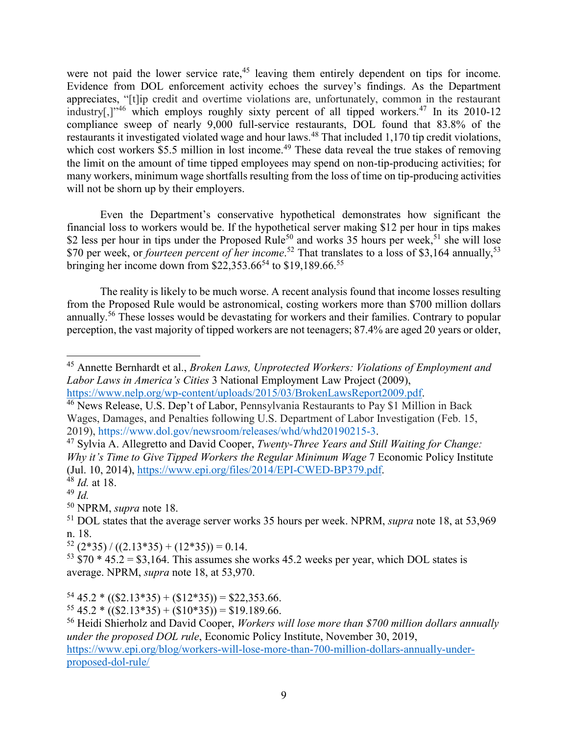were not paid the lower service rate,<sup>45</sup> leaving them entirely dependent on tips for income. Evidence from DOL enforcement activity echoes the survey's findings. As the Department appreciates, "[t]ip credit and overtime violations are, unfortunately, common in the restaurant industry[,]<sup> $346$ </sup> which employs roughly sixty percent of all tipped workers.<sup>47</sup> In its 2010-12 compliance sweep of nearly 9,000 full-service restaurants, DOL found that 83.8% of the restaurants it investigated violated wage and hour laws.<sup>48</sup> That included 1,170 tip credit violations, which cost workers \$5.5 million in lost income.<sup>49</sup> These data reveal the true stakes of removing the limit on the amount of time tipped employees may spend on non-tip-producing activities; for many workers, minimum wage shortfalls resulting from the loss of time on tip-producing activities will not be shorn up by their employers.

Even the Department's conservative hypothetical demonstrates how significant the financial loss to workers would be. If the hypothetical server making \$12 per hour in tips makes \$2 less per hour in tips under the Proposed Rule<sup>50</sup> and works 35 hours per week,<sup>51</sup> she will lose \$70 per week, or *fourteen percent of her income*.<sup>52</sup> That translates to a loss of \$3,164 annually,<sup>53</sup> bringing her income down from  $$22,353.66^{54}$  to  $$19,189.66^{55}$ 

The reality is likely to be much worse. A recent analysis found that income losses resulting from the Proposed Rule would be astronomical, costing workers more than \$700 million dollars annually.<sup>56</sup> These losses would be devastating for workers and their families. Contrary to popular perception, the vast majority of tipped workers are not teenagers; 87.4% are aged 20 years or older,

l

<sup>50</sup> NPRM, *supra* note 18.

 $52$  (2\*35) / ((2.13\*35) + (12\*35)) = 0.14.

 $53 \text{ }\frac{2}{370}$  \*  $45.2 = 33,164$ . This assumes she works 45.2 weeks per year, which DOL states is average. NPRM, *supra* note 18, at 53,970.

 $54\,45.2 * ((\$2.13*35) + (\$12*35)) = \$22.353.66.$ 

 $55\,45.2 * ((\$2.13*35) + (\$10*35)) = \$19.189.66.$ 

<sup>56</sup> Heidi Shierholz and David Cooper, *Workers will lose more than \$700 million dollars annually under the proposed DOL rule*, Economic Policy Institute, November 30, 2019, [https://www.epi.org/blog/workers-will-lose-more-than-700-million-dollars-annually-under](https://www.epi.org/blog/workers-will-lose-more-than-700-million-dollars-annually-under-proposed-dol-rule/)[proposed-dol-rule/](https://www.epi.org/blog/workers-will-lose-more-than-700-million-dollars-annually-under-proposed-dol-rule/)

<sup>45</sup> Annette Bernhardt et al., *Broken Laws, Unprotected Workers: Violations of Employment and Labor Laws in America's Cities* 3 National Employment Law Project (2009), [https://www.nelp.org/wp-content/uploads/2015/03/BrokenLawsReport2009.pdf.](https://www.nelp.org/wp-content/uploads/2015/03/BrokenLawsReport2009.pdf)

<sup>46</sup> News Release, U.S. Dep't of Labor, Pennsylvania Restaurants to Pay \$1 Million in Back Wages, Damages, and Penalties following U.S. Department of Labor Investigation (Feb. 15, 2019), [https://www.dol.gov/newsroom/releases/whd/whd20190215-3.](https://www.dol.gov/newsroom/releases/whd/whd20190215-3)

<sup>47</sup> Sylvia A. Allegretto and David Cooper, *Twenty-Three Years and Still Waiting for Change: Why it's Time to Give Tipped Workers the Regular Minimum Wage* 7 Economic Policy Institute (Jul. 10, 2014), [https://www.epi.org/files/2014/EPI-CWED-BP379.pdf.](https://www.epi.org/files/2014/EPI-CWED-BP379.pdf)

<sup>48</sup> *Id.* at 18.

<sup>49</sup> *Id.*

<sup>51</sup> DOL states that the average server works 35 hours per week. NPRM, *supra* note 18, at 53,969 n. 18.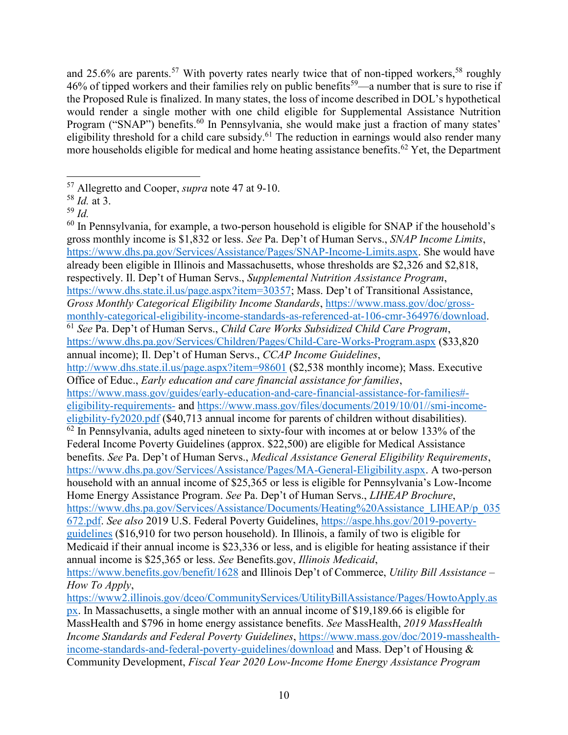and 25.6% are parents.<sup>57</sup> With poverty rates nearly twice that of non-tipped workers,<sup>58</sup> roughly 46% of tipped workers and their families rely on public benefits<sup>59</sup>—a number that is sure to rise if the Proposed Rule is finalized. In many states, the loss of income described in DOL's hypothetical would render a single mother with one child eligible for Supplemental Assistance Nutrition Program ("SNAP") benefits.<sup>60</sup> In Pennsylvania, she would make just a fraction of many states' eligibility threshold for a child care subsidy.<sup>61</sup> The reduction in earnings would also render many more households eligible for medical and home heating assistance benefits.<sup>62</sup> Yet, the Department

 $60$  In Pennsylvania, for example, a two-person household is eligible for SNAP if the household's gross monthly income is \$1,832 or less. *See* Pa. Dep't of Human Servs., *SNAP Income Limits*, [https://www.dhs.pa.gov/Services/Assistance/Pages/SNAP-Income-Limits.aspx.](https://www.dhs.pa.gov/Services/Assistance/Pages/SNAP-Income-Limits.aspx) She would have already been eligible in Illinois and Massachusetts, whose thresholds are \$2,326 and \$2,818, respectively. Il. Dep't of Human Servs., *Supplemental Nutrition Assistance Program*, [https://www.dhs.state.il.us/page.aspx?item=30357;](https://www.dhs.state.il.us/page.aspx?item=30357) Mass. Dep't of Transitional Assistance, *Gross Monthly Categorical Eligibility Income Standards*, [https://www.mass.gov/doc/gross](https://www.mass.gov/doc/gross-monthly-categorical-eligibility-income-standards-as-referenced-at-106-cmr-364976/download)[monthly-categorical-eligibility-income-standards-as-referenced-at-106-cmr-364976/download.](https://www.mass.gov/doc/gross-monthly-categorical-eligibility-income-standards-as-referenced-at-106-cmr-364976/download) <sup>61</sup> *See* Pa. Dep't of Human Servs., *Child Care Works Subsidized Child Care Program*, <https://www.dhs.pa.gov/Services/Children/Pages/Child-Care-Works-Program.aspx> (\$33,820 annual income); Il. Dep't of Human Servs., *CCAP Income Guidelines*, <http://www.dhs.state.il.us/page.aspx?item=98601> (\$2,538 monthly income); Mass. Executive Office of Educ., *Early education and care financial assistance for families*, [https://www.mass.gov/guides/early-education-and-care-financial-assistance-for-families#](https://www.mass.gov/guides/early-education-and-care-financial-assistance-for-families#-eligibility-requirements-) [eligibility-requirements-](https://www.mass.gov/guides/early-education-and-care-financial-assistance-for-families#-eligibility-requirements-) and [https://www.mass.gov/files/documents/2019/10/01//smi-income](https://www.mass.gov/files/documents/2019/10/01/smi-income-eligbility-fy2020.pdf)[eligbility-fy2020.pdf](https://www.mass.gov/files/documents/2019/10/01/smi-income-eligbility-fy2020.pdf) (\$40,713 annual income for parents of children without disabilities).  $62$  In Pennsylvania, adults aged nineteen to sixty-four with incomes at or below 133% of the Federal Income Poverty Guidelines (approx. \$22,500) are eligible for Medical Assistance benefits. *See* Pa. Dep't of Human Servs., *Medical Assistance General Eligibility Requirements*, [https://www.dhs.pa.gov/Services/Assistance/Pages/MA-General-Eligibility.aspx.](https://www.dhs.pa.gov/Services/Assistance/Pages/MA-General-Eligibility.aspx) A two-person household with an annual income of \$25,365 or less is eligible for Pennsylvania's Low-Income Home Energy Assistance Program. *See* Pa. Dep't of Human Servs., *LIHEAP Brochure*, [https://www.dhs.pa.gov/Services/Assistance/Documents/Heating%20Assistance\\_LIHEAP/p\\_035](https://www.dhs.pa.gov/Services/Assistance/Documents/Heating%20Assistance_LIHEAP/p_035672.pdf) [672.pdf.](https://www.dhs.pa.gov/Services/Assistance/Documents/Heating%20Assistance_LIHEAP/p_035672.pdf) *See also* 2019 U.S. Federal Poverty Guidelines, [https://aspe.hhs.gov/2019-poverty](https://aspe.hhs.gov/2019-poverty-guidelines)[guidelines](https://aspe.hhs.gov/2019-poverty-guidelines) (\$16,910 for two person household). In Illinois, a family of two is eligible for Medicaid if their annual income is \$23,336 or less, and is eligible for heating assistance if their annual income is \$25,365 or less. *See* Benefits.gov, *Illinois Medicaid*, <https://www.benefits.gov/benefit/1628> and Illinois Dep't of Commerce, *Utility Bill Assistance – How To Apply*, [https://www2.illinois.gov/dceo/CommunityServices/UtilityBillAssistance/Pages/HowtoApply.as](https://www2.illinois.gov/dceo/CommunityServices/UtilityBillAssistance/Pages/HowtoApply.aspx) [px.](https://www2.illinois.gov/dceo/CommunityServices/UtilityBillAssistance/Pages/HowtoApply.aspx) In Massachusetts, a single mother with an annual income of \$19,189.66 is eligible for

MassHealth and \$796 in home energy assistance benefits. *See* MassHealth, *2019 MassHealth Income Standards and Federal Poverty Guidelines*, [https://www.mass.gov/doc/2019-masshealth](https://www.mass.gov/doc/2019-masshealth-income-standards-and-federal-poverty-guidelines/download)[income-standards-and-federal-poverty-guidelines/download](https://www.mass.gov/doc/2019-masshealth-income-standards-and-federal-poverty-guidelines/download) and Mass. Dep't of Housing & Community Development, *Fiscal Year 2020 Low-Income Home Energy Assistance Program* 

 $\overline{a}$ <sup>57</sup> Allegretto and Cooper, *supra* note 47 at 9-10.

<sup>58</sup> *Id.* at 3.

<sup>59</sup> *Id.*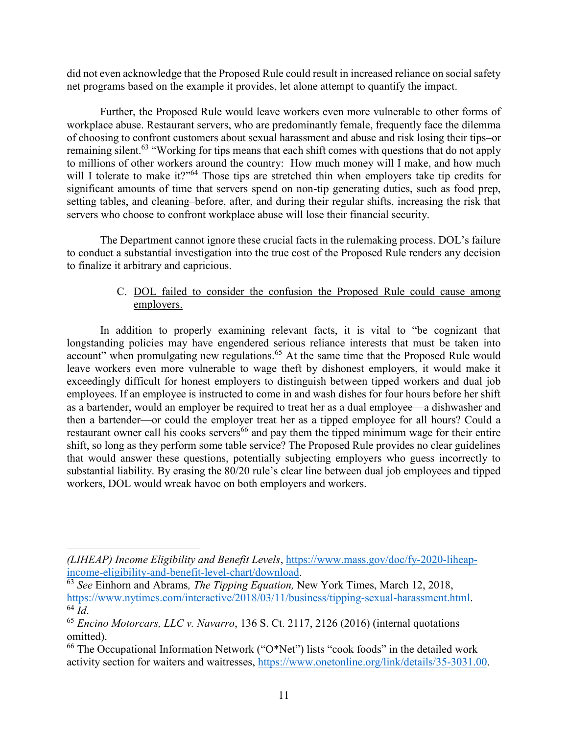did not even acknowledge that the Proposed Rule could result in increased reliance on social safety net programs based on the example it provides, let alone attempt to quantify the impact.

Further, the Proposed Rule would leave workers even more vulnerable to other forms of workplace abuse. Restaurant servers, who are predominantly female, frequently face the dilemma of choosing to confront customers about sexual harassment and abuse and risk losing their tips–or remaining silent.<sup>63</sup> "Working for tips means that each shift comes with questions that do not apply to millions of other workers around the country: How much money will I make, and how much will I tolerate to make it?"<sup>64</sup> Those tips are stretched thin when employers take tip credits for significant amounts of time that servers spend on non-tip generating duties, such as food prep, setting tables, and cleaning–before, after, and during their regular shifts, increasing the risk that servers who choose to confront workplace abuse will lose their financial security.

The Department cannot ignore these crucial facts in the rulemaking process. DOL's failure to conduct a substantial investigation into the true cost of the Proposed Rule renders any decision to finalize it arbitrary and capricious.

# C. DOL failed to consider the confusion the Proposed Rule could cause among employers.

In addition to properly examining relevant facts, it is vital to "be cognizant that longstanding policies may have engendered serious reliance interests that must be taken into account" when promulgating new regulations.<sup>65</sup> At the same time that the Proposed Rule would leave workers even more vulnerable to wage theft by dishonest employers, it would make it exceedingly difficult for honest employers to distinguish between tipped workers and dual job employees. If an employee is instructed to come in and wash dishes for four hours before her shift as a bartender, would an employer be required to treat her as a dual employee—a dishwasher and then a bartender—or could the employer treat her as a tipped employee for all hours? Could a restaurant owner call his cooks servers<sup>66</sup> and pay them the tipped minimum wage for their entire shift, so long as they perform some table service? The Proposed Rule provides no clear guidelines that would answer these questions, potentially subjecting employers who guess incorrectly to substantial liability. By erasing the 80/20 rule's clear line between dual job employees and tipped workers, DOL would wreak havoc on both employers and workers.

l

*<sup>(</sup>LIHEAP) Income Eligibility and Benefit Levels*, [https://www.mass.gov/doc/fy-2020-liheap](https://www.mass.gov/doc/fy-2020-liheap-income-eligibility-and-benefit-level-chart/download)[income-eligibility-and-benefit-level-chart/download.](https://www.mass.gov/doc/fy-2020-liheap-income-eligibility-and-benefit-level-chart/download)

<sup>63</sup> *See* Einhorn and Abrams*, The Tipping Equation,* New York Times, March 12, 2018, [https://www.nytimes.com/interactive/2018/03/11/business/tipping-sexual-harassment.html.](https://www.nytimes.com/interactive/2018/03/11/business/tipping-sexual-harassment.html) <sup>64</sup> *Id*.

<sup>65</sup> *Encino Motorcars, LLC v. Navarro*, 136 S. Ct. 2117, 2126 (2016) (internal quotations omitted).

 $66$  The Occupational Information Network ("O\*Net") lists "cook foods" in the detailed work activity section for waiters and waitresses, [https://www.onetonline.org/link/details/35-3031.00.](https://www.onetonline.org/link/details/35-3031.00)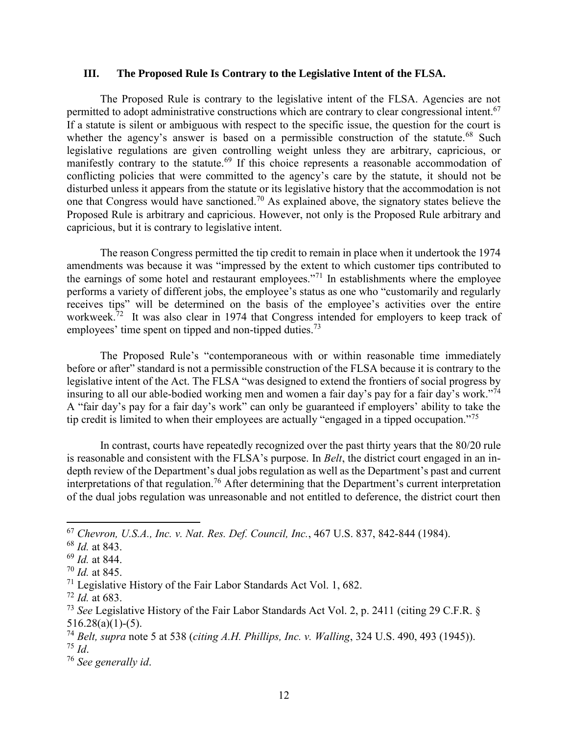#### **III. The Proposed Rule Is Contrary to the Legislative Intent of the FLSA.**

The Proposed Rule is contrary to the legislative intent of the FLSA. Agencies are not permitted to adopt administrative constructions which are contrary to clear congressional intent.<sup>67</sup> If a statute is silent or ambiguous with respect to the specific issue, the question for the court is whether the agency's answer is based on a permissible construction of the statute.<sup>68</sup> Such legislative regulations are given controlling weight unless they are arbitrary, capricious, or manifestly contrary to the statute.<sup>69</sup> If this choice represents a reasonable accommodation of conflicting policies that were committed to the agency's care by the statute, it should not be disturbed unless it appears from the statute or its legislative history that the accommodation is not one that Congress would have sanctioned.<sup>70</sup> As explained above, the signatory states believe the Proposed Rule is arbitrary and capricious. However, not only is the Proposed Rule arbitrary and capricious, but it is contrary to legislative intent.

The reason Congress permitted the tip credit to remain in place when it undertook the 1974 amendments was because it was "impressed by the extent to which customer tips contributed to the earnings of some hotel and restaurant employees."<sup>71</sup> In establishments where the employee performs a variety of different jobs, the employee's status as one who "customarily and regularly receives tips" will be determined on the basis of the employee's activities over the entire workweek.<sup>72</sup> It was also clear in 1974 that Congress intended for employers to keep track of employees' time spent on tipped and non-tipped duties.<sup>73</sup>

The Proposed Rule's "contemporaneous with or within reasonable time immediately before or after" standard is not a permissible construction of the FLSA because it is contrary to the legislative intent of the Act. The FLSA "was designed to extend the frontiers of social progress by insuring to all our able-bodied working men and women a fair day's pay for a fair day's work."<sup>74</sup> A "fair day's pay for a fair day's work" can only be guaranteed if employers' ability to take the tip credit is limited to when their employees are actually "engaged in a tipped occupation."<sup>75</sup>

In contrast, courts have repeatedly recognized over the past thirty years that the 80/20 rule is reasonable and consistent with the FLSA's purpose. In *Belt*, the district court engaged in an indepth review of the Department's dual jobs regulation as well as the Department's past and current interpretations of that regulation.<sup>76</sup> After determining that the Department's current interpretation of the dual jobs regulation was unreasonable and not entitled to deference, the district court then

 $\overline{\phantom{a}}$ 

<sup>67</sup> *Chevron, U.S.A., Inc. v. Nat. Res. Def. Council, Inc.*, 467 U.S. 837, 842-844 (1984).

<sup>68</sup> *Id.* at 843.

<sup>69</sup> *Id.* at 844.

<sup>70</sup> *Id.* at 845.

 $71$  Legislative History of the Fair Labor Standards Act Vol. 1, 682.

<sup>72</sup> *Id.* at 683.

<sup>73</sup> *See* Legislative History of the Fair Labor Standards Act Vol. 2, p. 2411 (citing 29 C.F.R. §  $516.28(a)(1)-(5)$ .

<sup>74</sup> *Belt, supra* note 5 at 538 (*citing A.H. Phillips, Inc. v. Walling*, 324 U.S. 490, 493 (1945)). <sup>75</sup> *Id*.

<sup>76</sup> *See generally id*.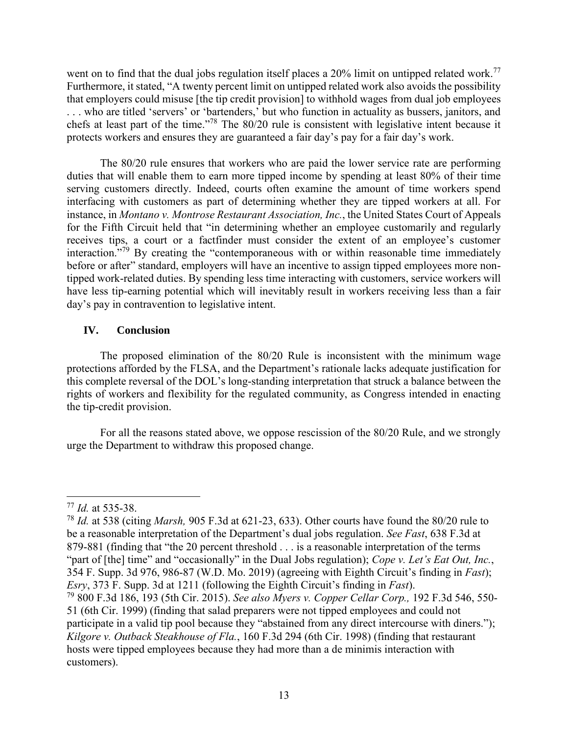went on to find that the dual jobs regulation itself places a 20% limit on untipped related work.<sup>77</sup> Furthermore, it stated, "A twenty percent limit on untipped related work also avoids the possibility that employers could misuse [the tip credit provision] to withhold wages from dual job employees . . . who are titled 'servers' or 'bartenders,' but who function in actuality as bussers, janitors, and chefs at least part of the time."<sup>78</sup> The 80/20 rule is consistent with legislative intent because it protects workers and ensures they are guaranteed a fair day's pay for a fair day's work.

The 80/20 rule ensures that workers who are paid the lower service rate are performing duties that will enable them to earn more tipped income by spending at least 80% of their time serving customers directly. Indeed, courts often examine the amount of time workers spend interfacing with customers as part of determining whether they are tipped workers at all. For instance, in *Montano v. Montrose Restaurant Association, Inc.*, the United States Court of Appeals for the Fifth Circuit held that "in determining whether an employee customarily and regularly receives tips, a court or a factfinder must consider the extent of an employee's customer interaction."<sup>79</sup> By creating the "contemporaneous with or within reasonable time immediately before or after" standard, employers will have an incentive to assign tipped employees more nontipped work-related duties. By spending less time interacting with customers, service workers will have less tip-earning potential which will inevitably result in workers receiving less than a fair day's pay in contravention to legislative intent.

## **IV. Conclusion**

The proposed elimination of the 80/20 Rule is inconsistent with the minimum wage protections afforded by the FLSA, and the Department's rationale lacks adequate justification for this complete reversal of the DOL's long-standing interpretation that struck a balance between the rights of workers and flexibility for the regulated community, as Congress intended in enacting the tip-credit provision.

For all the reasons stated above, we oppose rescission of the 80/20 Rule, and we strongly urge the Department to withdraw this proposed change.

 $\overline{a}$ <sup>77</sup> *Id.* at 535-38.

<sup>78</sup> *Id.* at 538 (citing *Marsh,* 905 F.3d at 621-23, 633). Other courts have found the 80/20 rule to be a reasonable interpretation of the Department's dual jobs regulation. *See Fast*, 638 F.3d at 879-881 (finding that "the 20 percent threshold . . . is a reasonable interpretation of the terms "part of [the] time" and "occasionally" in the Dual Jobs regulation); *Cope v. Let's Eat Out, Inc.*, 354 F. Supp. 3d 976, 986-87 (W.D. Mo. 2019) (agreeing with Eighth Circuit's finding in *Fast*); *Esry*, 373 F. Supp. 3d at 1211 (following the Eighth Circuit's finding in *Fast*).

<sup>79</sup> 800 F.3d 186, 193 (5th Cir. 2015). *See also Myers v. Copper Cellar Corp.,* 192 F.3d 546, 550- 51 (6th Cir. 1999) (finding that salad preparers were not tipped employees and could not participate in a valid tip pool because they "abstained from any direct intercourse with diners."); *Kilgore v. Outback Steakhouse of Fla.*, 160 F.3d 294 (6th Cir. 1998) (finding that restaurant hosts were tipped employees because they had more than a de minimis interaction with customers).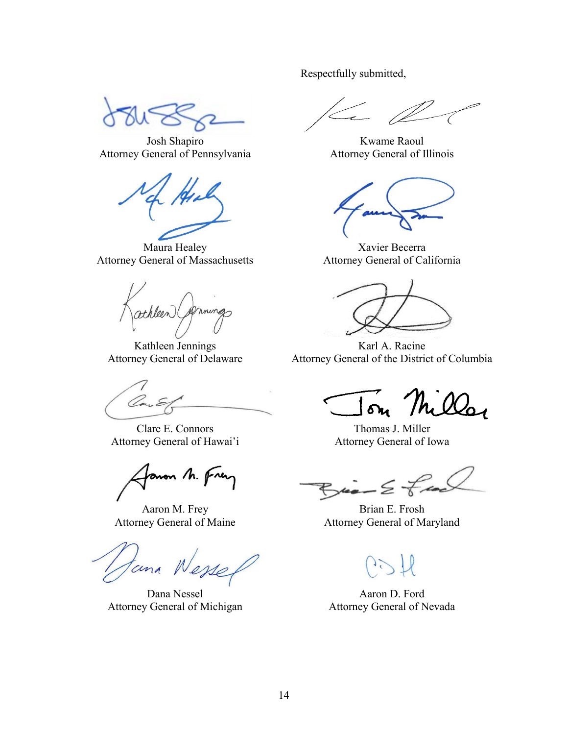Josh Shapiro Attorney General of Pennsylvania

Maura Healey Attorney General of Massachusetts

athleen

Kathleen Jennings Attorney General of Delaware

Clare E. Connors Attorney General of Hawai'i

mon /h. p

Aaron M. Frey Attorney General of Maine

tana

Dana Nessel Attorney General of Michigan

Respectfully submitted,

Kwame Raoul Attorney General of Illinois

Xavier Becerra Attorney General of California

Karl A. Racine Attorney General of the District of Columbia

The Q

Thomas J. Miller Attorney General of Iowa

Brian E. Frosh Attorney General of Maryland

Aaron D. Ford Attorney General of Nevada